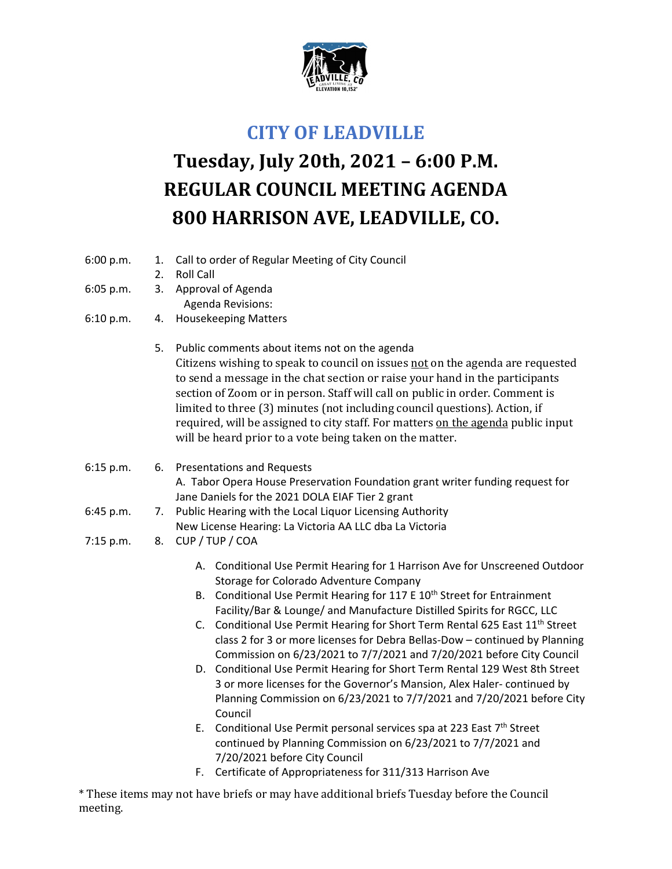

## **CITY OF LEADVILLE**

## **Tuesday, July 20th, 2021 – 6:00 P.M. REGULAR COUNCIL MEETING AGENDA 800 HARRISON AVE, LEADVILLE, CO.**

- 6:00 p.m. 1. Call to order of Regular Meeting of City Council
	- 2. Roll Call
- 6:05 p.m. 3. Approval of Agenda
	- Agenda Revisions:
- 6:10 p.m. 4. Housekeeping Matters
	- 5. Public comments about items not on the agenda Citizens wishing to speak to council on issues not on the agenda are requested to send a message in the chat section or raise your hand in the participants section of Zoom or in person. Staff will call on public in order. Comment is limited to three (3) minutes (not including council questions). Action, if required, will be assigned to city staff. For matters on the agenda public input will be heard prior to a vote being taken on the matter.
- 6:15 p.m. 6. Presentations and Requests A. Tabor Opera House Preservation Foundation grant writer funding request for Jane Daniels for the 2021 DOLA EIAF Tier 2 grant
- 6:45 p.m. 7. Public Hearing with the Local Liquor Licensing Authority New License Hearing: La Victoria AA LLC dba La Victoria
- 7:15 p.m. 8. CUP / TUP / COA
	- A. Conditional Use Permit Hearing for 1 Harrison Ave for Unscreened Outdoor Storage for Colorado Adventure Company
	- B. Conditional Use Permit Hearing for 117 E 10<sup>th</sup> Street for Entrainment Facility/Bar & Lounge/ and Manufacture Distilled Spirits for RGCC, LLC
	- C. Conditional Use Permit Hearing for Short Term Rental 625 East  $11<sup>th</sup>$  Street class 2 for 3 or more licenses for Debra Bellas‐Dow – continued by Planning Commission on 6/23/2021 to 7/7/2021 and 7/20/2021 before City Council
	- D. Conditional Use Permit Hearing for Short Term Rental 129 West 8th Street 3 or more licenses for the Governor's Mansion, Alex Haler‐ continued by Planning Commission on 6/23/2021 to 7/7/2021 and 7/20/2021 before City Council
	- E. Conditional Use Permit personal services spa at 223 East  $7<sup>th</sup>$  Street continued by Planning Commission on 6/23/2021 to 7/7/2021 and 7/20/2021 before City Council
	- F. Certificate of Appropriateness for 311/313 Harrison Ave

\* These items may not have briefs or may have additional briefs Tuesday before the Council meeting.